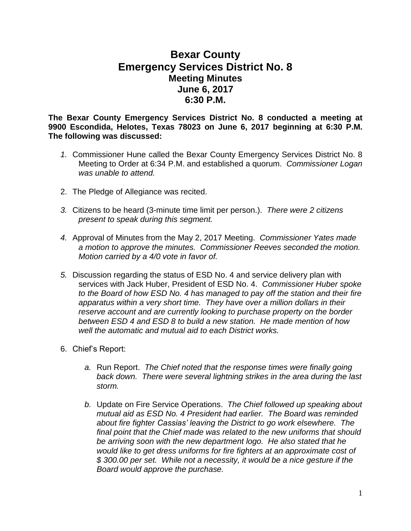## **Bexar County Emergency Services District No. 8 Meeting Minutes June 6, 2017 6:30 P.M.**

**The Bexar County Emergency Services District No. 8 conducted a meeting at 9900 Escondida, Helotes, Texas 78023 on June 6, 2017 beginning at 6:30 P.M. The following was discussed:**

- *1.* Commissioner Hune called the Bexar County Emergency Services District No. 8 Meeting to Order at 6:34 P.M. and established a quorum. *Commissioner Logan was unable to attend.*
- 2. The Pledge of Allegiance was recited.
- *3.* Citizens to be heard (3-minute time limit per person.). *There were 2 citizens present to speak during this segment.*
- *4.* Approval of Minutes from the May 2, 2017 Meeting. *Commissioner Yates made a motion to approve the minutes. Commissioner Reeves seconded the motion. Motion carried by a 4/0 vote in favor of.*
- *5.* Discussion regarding the status of ESD No. 4 and service delivery plan with services with Jack Huber, President of ESD No. 4. *Commissioner Huber spoke to the Board of how ESD No. 4 has managed to pay off the station and their fire apparatus within a very short time. They have over a million dollars in their reserve account and are currently looking to purchase property on the border between ESD 4 and ESD 8 to build a new station. He made mention of how well the automatic and mutual aid to each District works.*
- 6. Chief's Report:
	- *a.* Run Report. *The Chief noted that the response times were finally going back down. There were several lightning strikes in the area during the last storm.*
	- *b.* Update on Fire Service Operations. *The Chief followed up speaking about mutual aid as ESD No. 4 President had earlier. The Board was reminded about fire fighter Cassias' leaving the District to go work elsewhere. The final point that the Chief made was related to the new uniforms that should be arriving soon with the new department logo. He also stated that he would like to get dress uniforms for fire fighters at an approximate cost of \$ 300.00 per set. While not a necessity, it would be a nice gesture if the Board would approve the purchase.*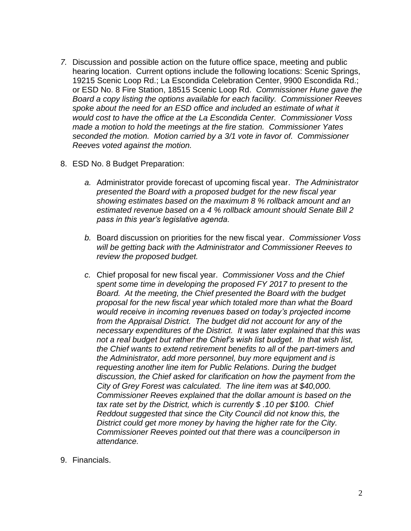- *7.* Discussion and possible action on the future office space, meeting and public hearing location. Current options include the following locations: Scenic Springs, 19215 Scenic Loop Rd.; La Escondida Celebration Center, 9900 Escondida Rd.; or ESD No. 8 Fire Station, 18515 Scenic Loop Rd. *Commissioner Hune gave the Board a copy listing the options available for each facility. Commissioner Reeves spoke about the need for an ESD office and included an estimate of what it would cost to have the office at the La Escondida Center. Commissioner Voss made a motion to hold the meetings at the fire station. Commissioner Yates seconded the motion. Motion carried by a 3/1 vote in favor of. Commissioner Reeves voted against the motion.*
- 8. ESD No. 8 Budget Preparation:
	- *a.* Administrator provide forecast of upcoming fiscal year. *The Administrator presented the Board with a proposed budget for the new fiscal year showing estimates based on the maximum 8 % rollback amount and an estimated revenue based on a 4 % rollback amount should Senate Bill 2 pass in this year's legislative agenda.*
	- *b.* Board discussion on priorities for the new fiscal year. *Commissioner Voss will be getting back with the Administrator and Commissioner Reeves to review the proposed budget.*
	- *c.* Chief proposal for new fiscal year. *Commissioner Voss and the Chief spent some time in developing the proposed FY 2017 to present to the Board. At the meeting, the Chief presented the Board with the budget proposal for the new fiscal year which totaled more than what the Board would receive in incoming revenues based on today's projected income from the Appraisal District. The budget did not account for any of the necessary expenditures of the District. It was later explained that this was not a real budget but rather the Chief's wish list budget. In that wish list, the Chief wants to extend retirement benefits to all of the part-timers and the Administrator, add more personnel, buy more equipment and is requesting another line item for Public Relations. During the budget discussion, the Chief asked for clarification on how the payment from the City of Grey Forest was calculated. The line item was at \$40,000. Commissioner Reeves explained that the dollar amount is based on the tax rate set by the District, which is currently \$ .10 per \$100. Chief Reddout suggested that since the City Council did not know this, the District could get more money by having the higher rate for the City. Commissioner Reeves pointed out that there was a councilperson in attendance.*
- 9. Financials.